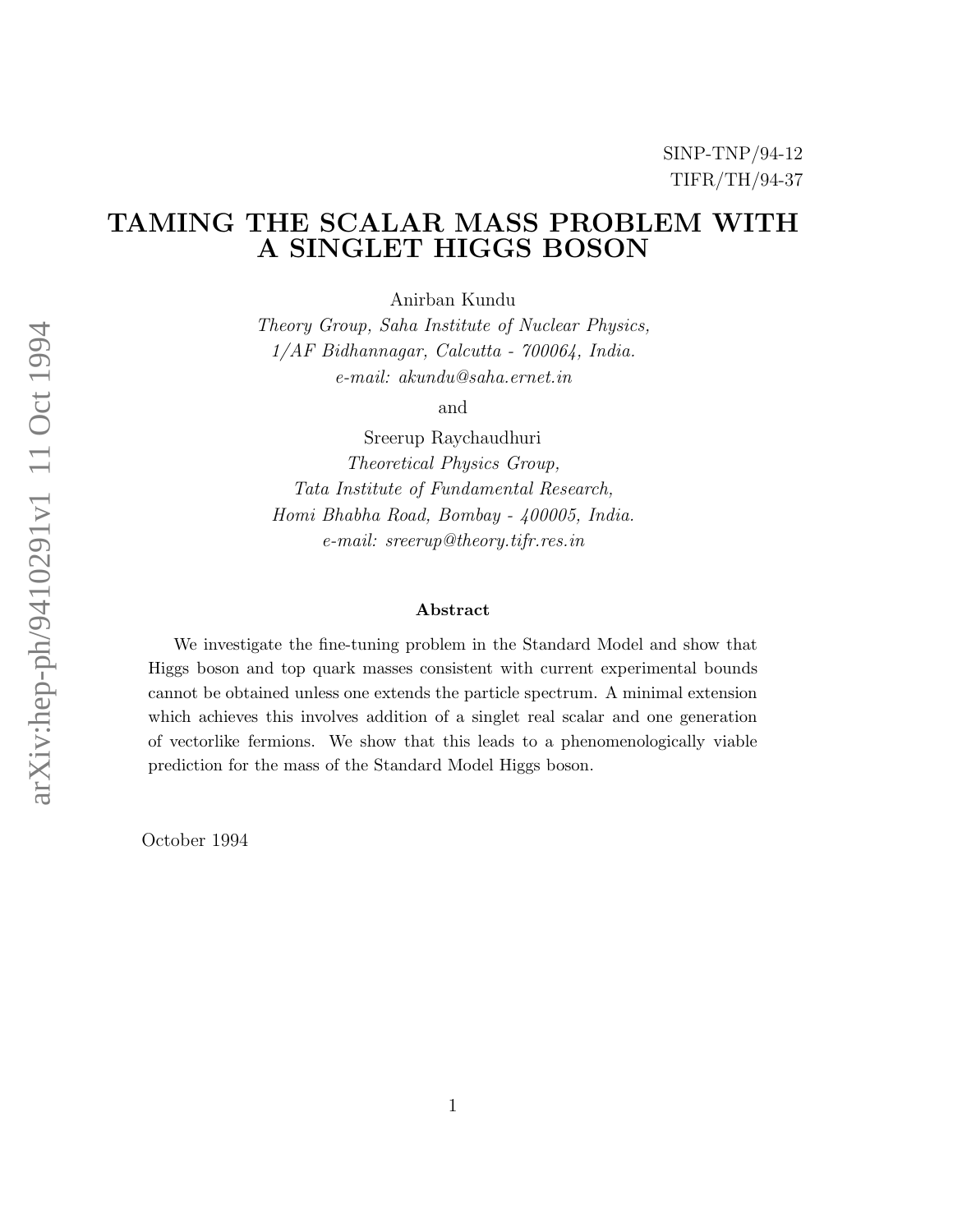# TAMING THE SCALAR MASS PROBLEM WITH A SINGLET HIGGS BOSON

Anirban Kundu

*Theory Group, Saha Institute of Nuclear Physics, 1/AF Bidhannagar, Calcutta - 700064, India. e-mail: akundu@saha.ernet.in*

and

Sreerup Raychaudhuri *Theoretical Physics Group, Tata Institute of Fundamental Research, Homi Bhabha Road, Bombay - 400005, India. e-mail: sreerup@theory.tifr.res.in*

#### Abstract

We investigate the fine-tuning problem in the Standard Model and show that Higgs boson and top quark masses consistent with current experimental bounds cannot be obtained unless one extends the particle spectrum. A minimal extension which achieves this involves addition of a singlet real scalar and one generation of vectorlike fermions. We show that this leads to a phenomenologically viable prediction for the mass of the Standard Model Higgs boson.

October 1994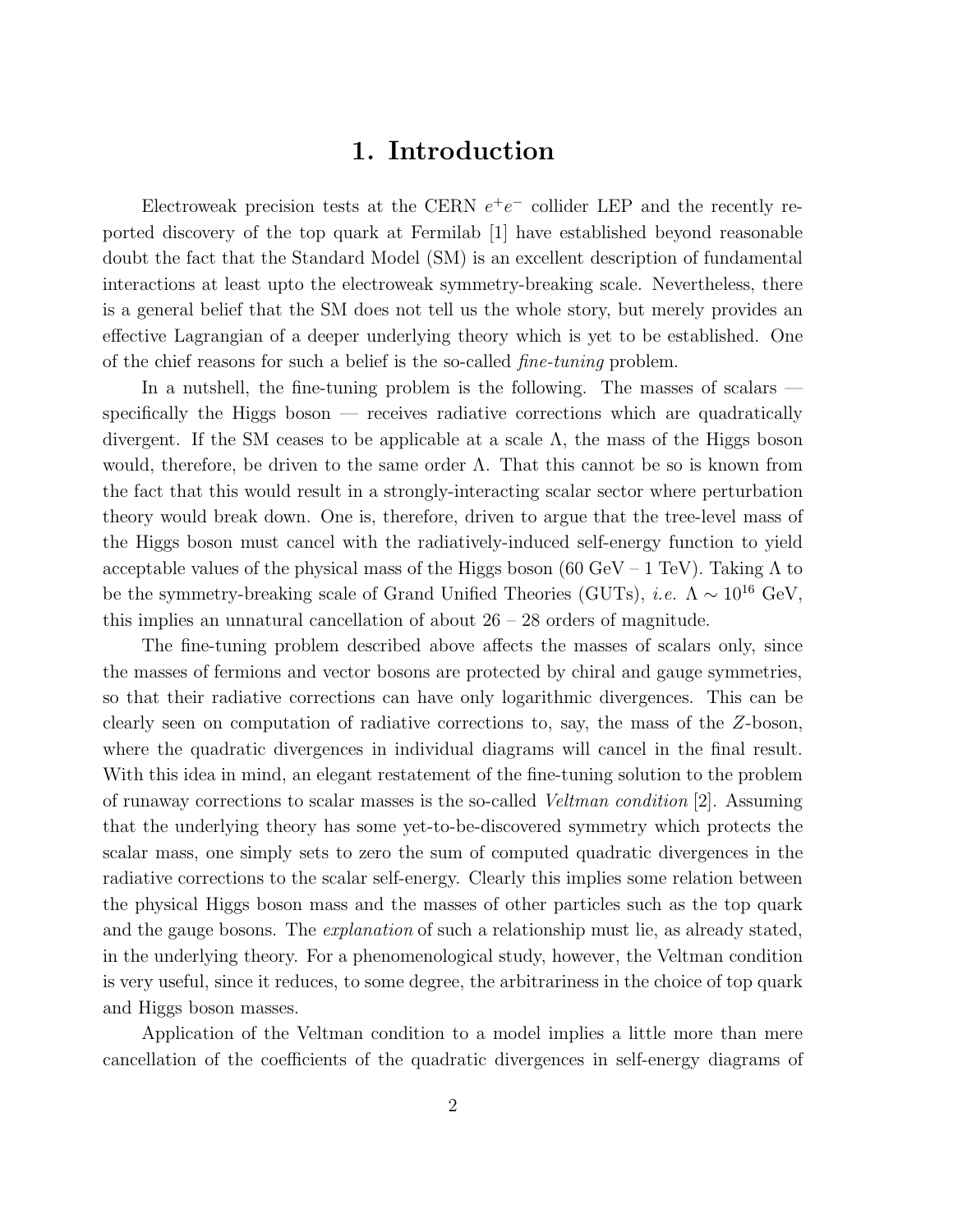# 1. Introduction

Electroweak precision tests at the CERN  $e^+e^-$  collider LEP and the recently reported discovery of the top quark at Fermilab [1] have established beyond reasonable doubt the fact that the Standard Model (SM) is an excellent description of fundamental interactions at least upto the electroweak symmetry-breaking scale. Nevertheless, there is a general belief that the SM does not tell us the whole story, but merely provides an effective Lagrangian of a deeper underlying theory which is yet to be established. One of the chief reasons for such a belief is the so-called *fine-tuning* problem.

In a nutshell, the fine-tuning problem is the following. The masses of scalars specifically the Higgs boson — receives radiative corrections which are quadratically divergent. If the SM ceases to be applicable at a scale  $\Lambda$ , the mass of the Higgs boson would, therefore, be driven to the same order  $\Lambda$ . That this cannot be so is known from the fact that this would result in a strongly-interacting scalar sector where perturbation theory would break down. One is, therefore, driven to argue that the tree-level mass of the Higgs boson must cancel with the radiatively-induced self-energy function to yield acceptable values of the physical mass of the Higgs boson (60 GeV – 1 TeV). Taking  $\Lambda$  to be the symmetry-breaking scale of Grand Unified Theories (GUTs), *i.e.*  $\Lambda \sim 10^{16}$  GeV, this implies an unnatural cancellation of about  $26 - 28$  orders of magnitude.

The fine-tuning problem described above affects the masses of scalars only, since the masses of fermions and vector bosons are protected by chiral and gauge symmetries, so that their radiative corrections can have only logarithmic divergences. This can be clearly seen on computation of radiative corrections to, say, the mass of the Z-boson, where the quadratic divergences in individual diagrams will cancel in the final result. With this idea in mind, an elegant restatement of the fine-tuning solution to the problem of runaway corrections to scalar masses is the so-called *Veltman condition* [2]. Assuming that the underlying theory has some yet-to-be-discovered symmetry which protects the scalar mass, one simply sets to zero the sum of computed quadratic divergences in the radiative corrections to the scalar self-energy. Clearly this implies some relation between the physical Higgs boson mass and the masses of other particles such as the top quark and the gauge bosons. The *explanation* of such a relationship must lie, as already stated, in the underlying theory. For a phenomenological study, however, the Veltman condition is very useful, since it reduces, to some degree, the arbitrariness in the choice of top quark and Higgs boson masses.

Application of the Veltman condition to a model implies a little more than mere cancellation of the coefficients of the quadratic divergences in self-energy diagrams of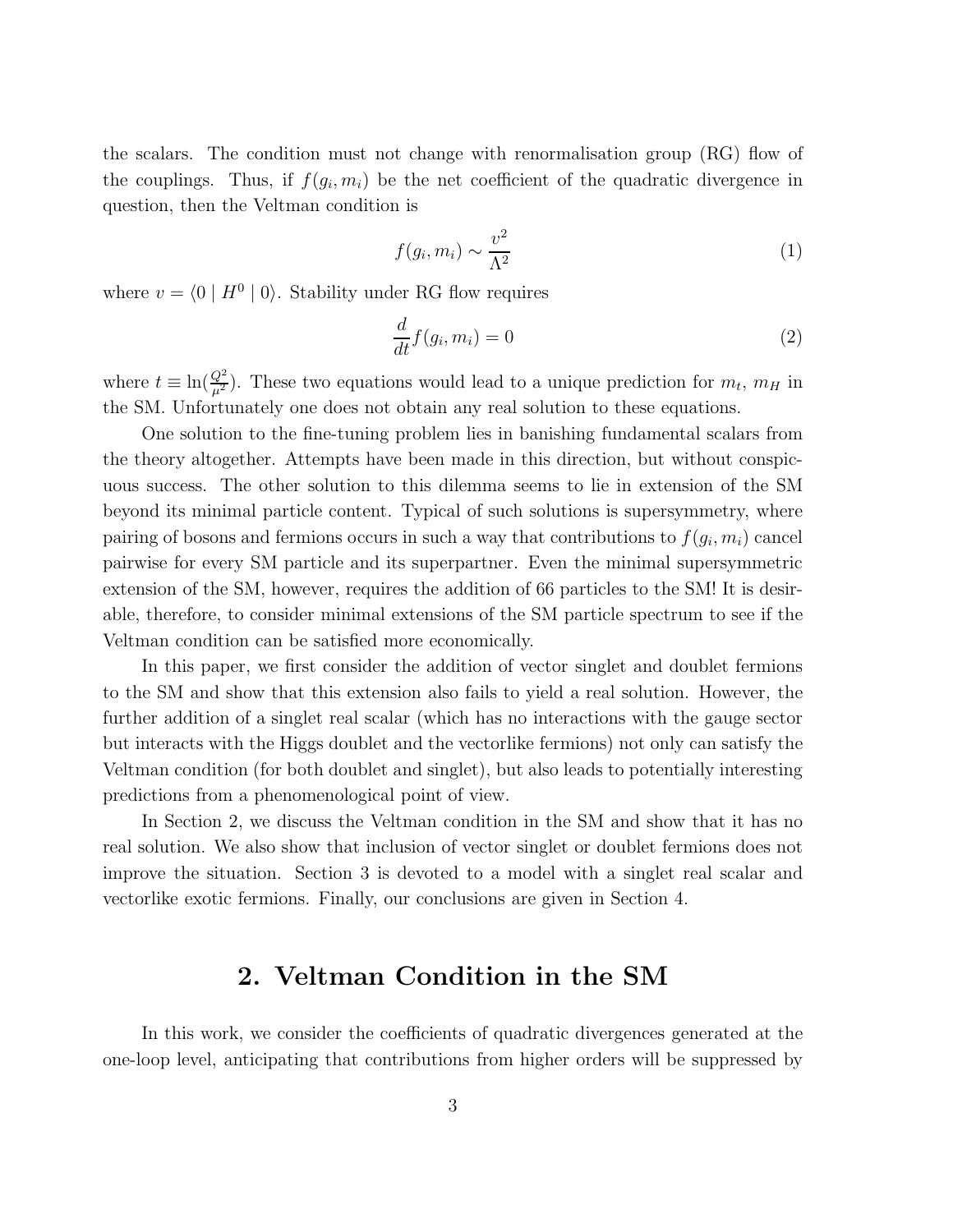the scalars. The condition must not change with renormalisation group (RG) flow of the couplings. Thus, if  $f(g_i, m_i)$  be the net coefficient of the quadratic divergence in question, then the Veltman condition is

$$
f(g_i, m_i) \sim \frac{v^2}{\Lambda^2} \tag{1}
$$

where  $v = \langle 0 | H^0 | 0 \rangle$ . Stability under RG flow requires

$$
\frac{d}{dt}f(g_i, m_i) = 0\tag{2}
$$

where  $t \equiv \ln(\frac{Q^2}{\mu^2})$ . These two equations would lead to a unique prediction for  $m_t$ ,  $m_H$  in the SM. Unfortunately one does not obtain any real solution to these equations.

One solution to the fine-tuning problem lies in banishing fundamental scalars from the theory altogether. Attempts have been made in this direction, but without conspicuous success. The other solution to this dilemma seems to lie in extension of the SM beyond its minimal particle content. Typical of such solutions is supersymmetry, where pairing of bosons and fermions occurs in such a way that contributions to  $f(g_i, m_i)$  cancel pairwise for every SM particle and its superpartner. Even the minimal supersymmetric extension of the SM, however, requires the addition of 66 particles to the SM! It is desirable, therefore, to consider minimal extensions of the SM particle spectrum to see if the Veltman condition can be satisfied more economically.

In this paper, we first consider the addition of vector singlet and doublet fermions to the SM and show that this extension also fails to yield a real solution. However, the further addition of a singlet real scalar (which has no interactions with the gauge sector but interacts with the Higgs doublet and the vectorlike fermions) not only can satisfy the Veltman condition (for both doublet and singlet), but also leads to potentially interesting predictions from a phenomenological point of view.

In Section 2, we discuss the Veltman condition in the SM and show that it has no real solution. We also show that inclusion of vector singlet or doublet fermions does not improve the situation. Section 3 is devoted to a model with a singlet real scalar and vectorlike exotic fermions. Finally, our conclusions are given in Section 4.

# 2. Veltman Condition in the SM

In this work, we consider the coefficients of quadratic divergences generated at the one-loop level, anticipating that contributions from higher orders will be suppressed by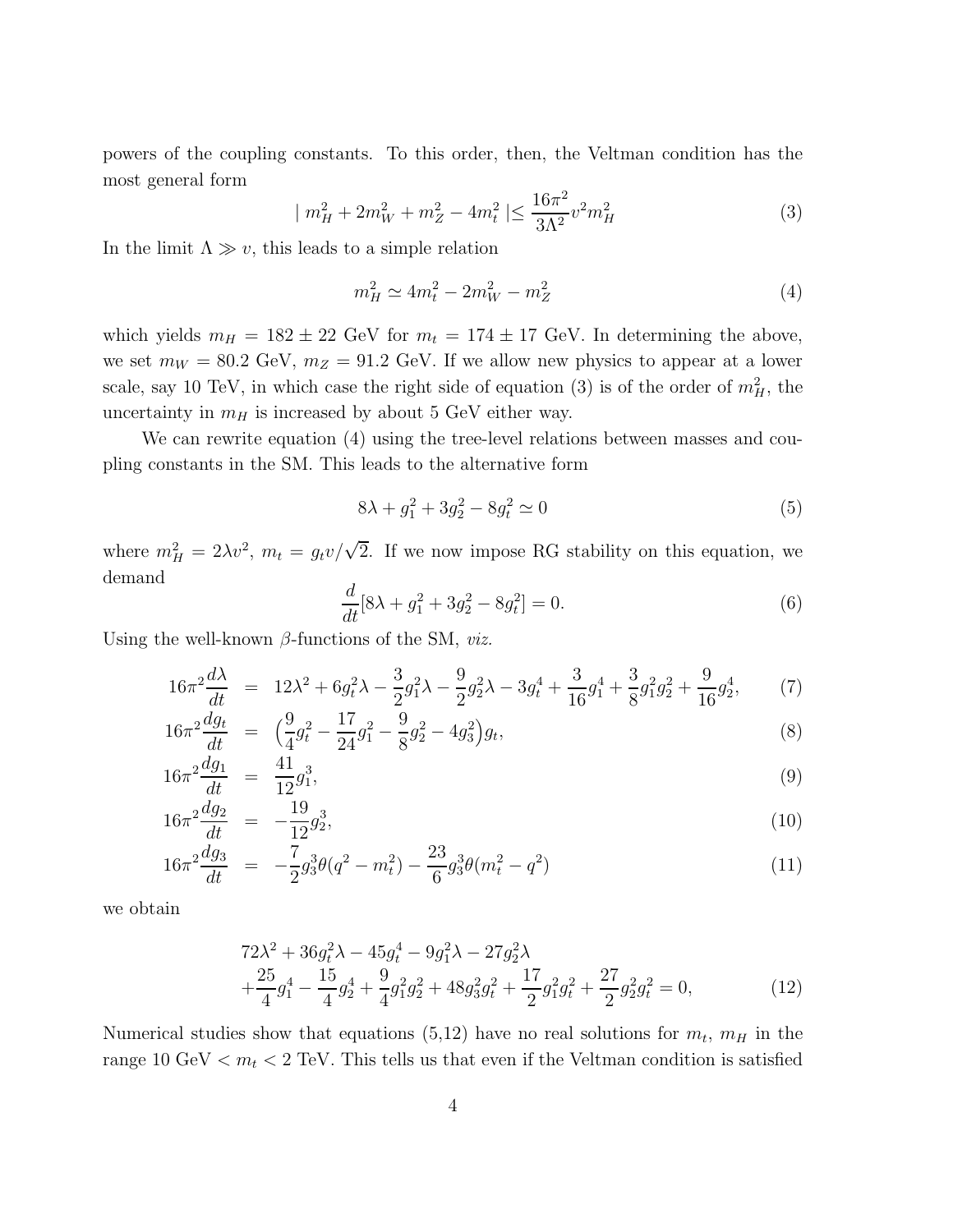powers of the coupling constants. To this order, then, the Veltman condition has the most general form

$$
|m_H^2 + 2m_W^2 + m_Z^2 - 4m_t^2| \le \frac{16\pi^2}{3\Lambda^2} v^2 m_H^2
$$
\n(3)

In the limit  $\Lambda \gg v$ , this leads to a simple relation

$$
m_H^2 \simeq 4m_t^2 - 2m_W^2 - m_Z^2 \tag{4}
$$

which yields  $m_H = 182 \pm 22$  GeV for  $m_t = 174 \pm 17$  GeV. In determining the above, we set  $m_W = 80.2$  GeV,  $m_Z = 91.2$  GeV. If we allow new physics to appear at a lower scale, say 10 TeV, in which case the right side of equation (3) is of the order of  $m_H^2$ , the uncertainty in  $m_H$  is increased by about 5 GeV either way.

We can rewrite equation (4) using the tree-level relations between masses and coupling constants in the SM. This leads to the alternative form

$$
8\lambda + g_1^2 + 3g_2^2 - 8g_t^2 \simeq 0 \tag{5}
$$

where  $m_H^2 = 2\lambda v^2$ ,  $m_t = g_t v / \sqrt{2}$ . If we now impose RG stability on this equation, we demand

$$
\frac{d}{dt}[8\lambda + g_1^2 + 3g_2^2 - 8g_t^2] = 0.
$$
\n(6)

Using the well-known β-functions of the SM, *viz.*

$$
16\pi^2 \frac{d\lambda}{dt} = 12\lambda^2 + 6g_t^2 \lambda - \frac{3}{2}g_1^2 \lambda - \frac{9}{2}g_2^2 \lambda - 3g_t^4 + \frac{3}{16}g_1^4 + \frac{3}{8}g_1^2 g_2^2 + \frac{9}{16}g_2^4,\tag{7}
$$

$$
16\pi^2 \frac{dg_t}{dt} = \left(\frac{9}{4}g_t^2 - \frac{17}{24}g_1^2 - \frac{9}{8}g_2^2 - 4g_3^2\right)g_t,\tag{8}
$$

$$
16\pi^2 \frac{dg_1}{dt} = \frac{41}{12} g_1^3,\tag{9}
$$

$$
16\pi^2 \frac{dg_2}{dt} = -\frac{19}{12}g_2^3,\tag{10}
$$

$$
16\pi^2 \frac{dg_3}{dt} = -\frac{7}{2}g_3^3 \theta(q^2 - m_t^2) - \frac{23}{6}g_3^3 \theta(m_t^2 - q^2)
$$
\n(11)

we obtain

$$
72\lambda^2 + 36g_t^2\lambda - 45g_t^4 - 9g_1^2\lambda - 27g_2^2\lambda
$$
  
 
$$
+\frac{25}{4}g_1^4 - \frac{15}{4}g_2^4 + \frac{9}{4}g_1^2g_2^2 + 48g_3^2g_t^2 + \frac{17}{2}g_1^2g_t^2 + \frac{27}{2}g_2^2g_t^2 = 0,
$$
 (12)

Numerical studies show that equations  $(5,12)$  have no real solutions for  $m_t$ ,  $m_H$  in the range 10 GeV  $\lt m_t \lt 2$  TeV. This tells us that even if the Veltman condition is satisfied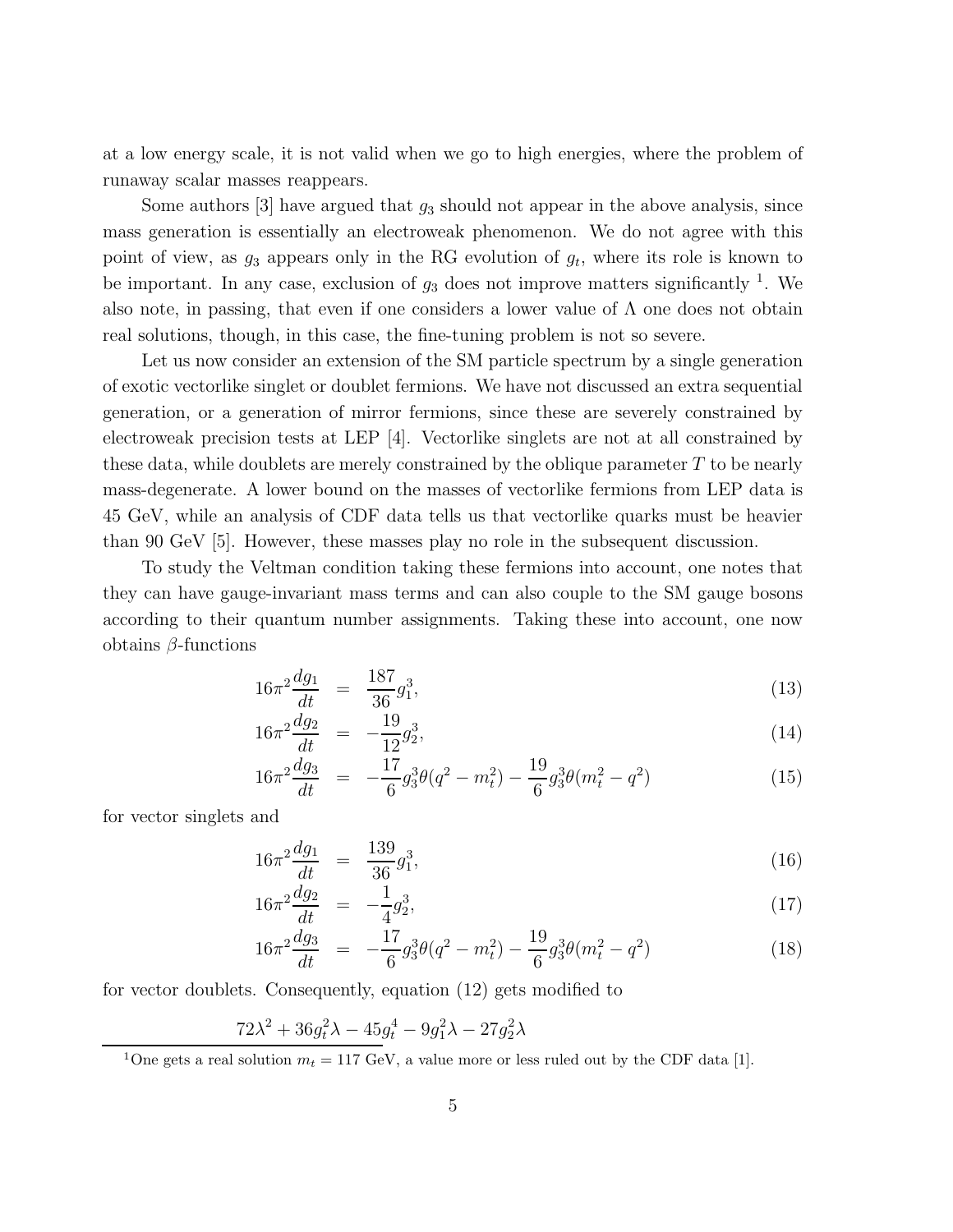at a low energy scale, it is not valid when we go to high energies, where the problem of runaway scalar masses reappears.

Some authors  $[3]$  have argued that  $g_3$  should not appear in the above analysis, since mass generation is essentially an electroweak phenomenon. We do not agree with this point of view, as  $g_3$  appears only in the RG evolution of  $g_t$ , where its role is known to be important. In any case, exclusion of  $g_3$  does not improve matters significantly <sup>1</sup>. We also note, in passing, that even if one considers a lower value of  $\Lambda$  one does not obtain real solutions, though, in this case, the fine-tuning problem is not so severe.

Let us now consider an extension of the SM particle spectrum by a single generation of exotic vectorlike singlet or doublet fermions. We have not discussed an extra sequential generation, or a generation of mirror fermions, since these are severely constrained by electroweak precision tests at LEP [4]. Vectorlike singlets are not at all constrained by these data, while doublets are merely constrained by the oblique parameter  $T$  to be nearly mass-degenerate. A lower bound on the masses of vectorlike fermions from LEP data is 45 GeV, while an analysis of CDF data tells us that vectorlike quarks must be heavier than 90 GeV [5]. However, these masses play no role in the subsequent discussion.

To study the Veltman condition taking these fermions into account, one notes that they can have gauge-invariant mass terms and can also couple to the SM gauge bosons according to their quantum number assignments. Taking these into account, one now obtains  $\beta$ -functions

$$
16\pi^2 \frac{dg_1}{dt} = \frac{187}{36} g_1^3,\tag{13}
$$

$$
16\pi^2 \frac{dg_2}{dt} = -\frac{19}{12}g_2^3,\tag{14}
$$

$$
16\pi^2 \frac{dg_3}{dt} = -\frac{17}{6} g_3^3 \theta (q^2 - m_t^2) - \frac{19}{6} g_3^3 \theta (m_t^2 - q^2) \tag{15}
$$

for vector singlets and

$$
16\pi^2 \frac{dg_1}{dt} = \frac{139}{36} g_1^3,\tag{16}
$$

$$
16\pi^2 \frac{dg_2}{dt} = -\frac{1}{4}g_2^3,\tag{17}
$$

$$
16\pi^2 \frac{dg_3}{dt} = -\frac{17}{6}g_3^3 \theta(q^2 - m_t^2) - \frac{19}{6}g_3^3 \theta(m_t^2 - q^2)
$$
 (18)

for vector doublets. Consequently, equation (12) gets modified to

$$
72\lambda^2 + 36g_t^2\lambda - 45g_t^4 - 9g_1^2\lambda - 27g_2^2\lambda
$$

<sup>1</sup>One gets a real solution  $m_t = 117 \text{ GeV}$ , a value more or less ruled out by the CDF data [1].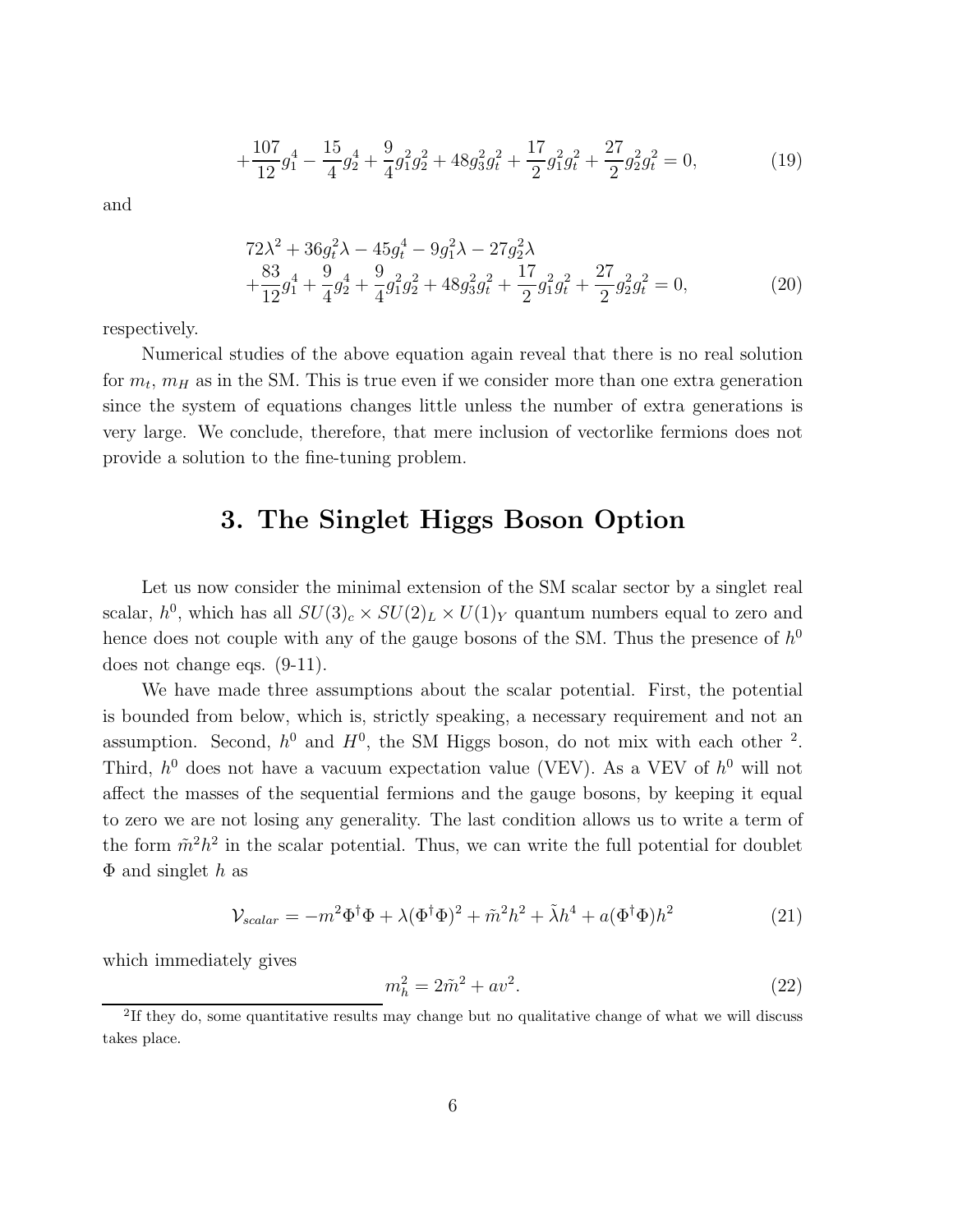$$
+\frac{107}{12}g_1^4 - \frac{15}{4}g_2^4 + \frac{9}{4}g_1^2g_2^2 + 48g_3^2g_t^2 + \frac{17}{2}g_1^2g_t^2 + \frac{27}{2}g_2^2g_t^2 = 0,
$$
\n(19)

and

$$
72\lambda^2 + 36g_t^2\lambda - 45g_t^4 - 9g_1^2\lambda - 27g_2^2\lambda
$$
  
 
$$
+\frac{83}{12}g_1^4 + \frac{9}{4}g_2^4 + \frac{9}{4}g_1^2g_2^2 + 48g_3^2g_t^2 + \frac{17}{2}g_1^2g_t^2 + \frac{27}{2}g_2^2g_t^2 = 0,
$$
 (20)

respectively.

Numerical studies of the above equation again reveal that there is no real solution for  $m_t$ ,  $m_H$  as in the SM. This is true even if we consider more than one extra generation since the system of equations changes little unless the number of extra generations is very large. We conclude, therefore, that mere inclusion of vectorlike fermions does not provide a solution to the fine-tuning problem.

# 3. The Singlet Higgs Boson Option

Let us now consider the minimal extension of the SM scalar sector by a singlet real scalar,  $h^0$ , which has all  $SU(3)_c \times SU(2)_L \times U(1)_Y$  quantum numbers equal to zero and hence does not couple with any of the gauge bosons of the SM. Thus the presence of  $h^0$ does not change eqs. (9-11).

We have made three assumptions about the scalar potential. First, the potential is bounded from below, which is, strictly speaking, a necessary requirement and not an assumption. Second,  $h^0$  and  $H^0$ , the SM Higgs boson, do not mix with each other <sup>2</sup>. Third,  $h^0$  does not have a vacuum expectation value (VEV). As a VEV of  $h^0$  will not affect the masses of the sequential fermions and the gauge bosons, by keeping it equal to zero we are not losing any generality. The last condition allows us to write a term of the form  $\tilde{m}^2 h^2$  in the scalar potential. Thus, we can write the full potential for doublet  $\Phi$  and singlet h as

$$
\mathcal{V}_{scalar} = -m^2 \Phi^\dagger \Phi + \lambda (\Phi^\dagger \Phi)^2 + \tilde{m}^2 h^2 + \tilde{\lambda} h^4 + a (\Phi^\dagger \Phi) h^2 \tag{21}
$$

which immediately gives

$$
m_h^2 = 2\tilde{m}^2 + av^2.
$$
\n(22)

<sup>&</sup>lt;sup>2</sup>If they do, some quantitative results may change but no qualitative change of what we will discuss takes place.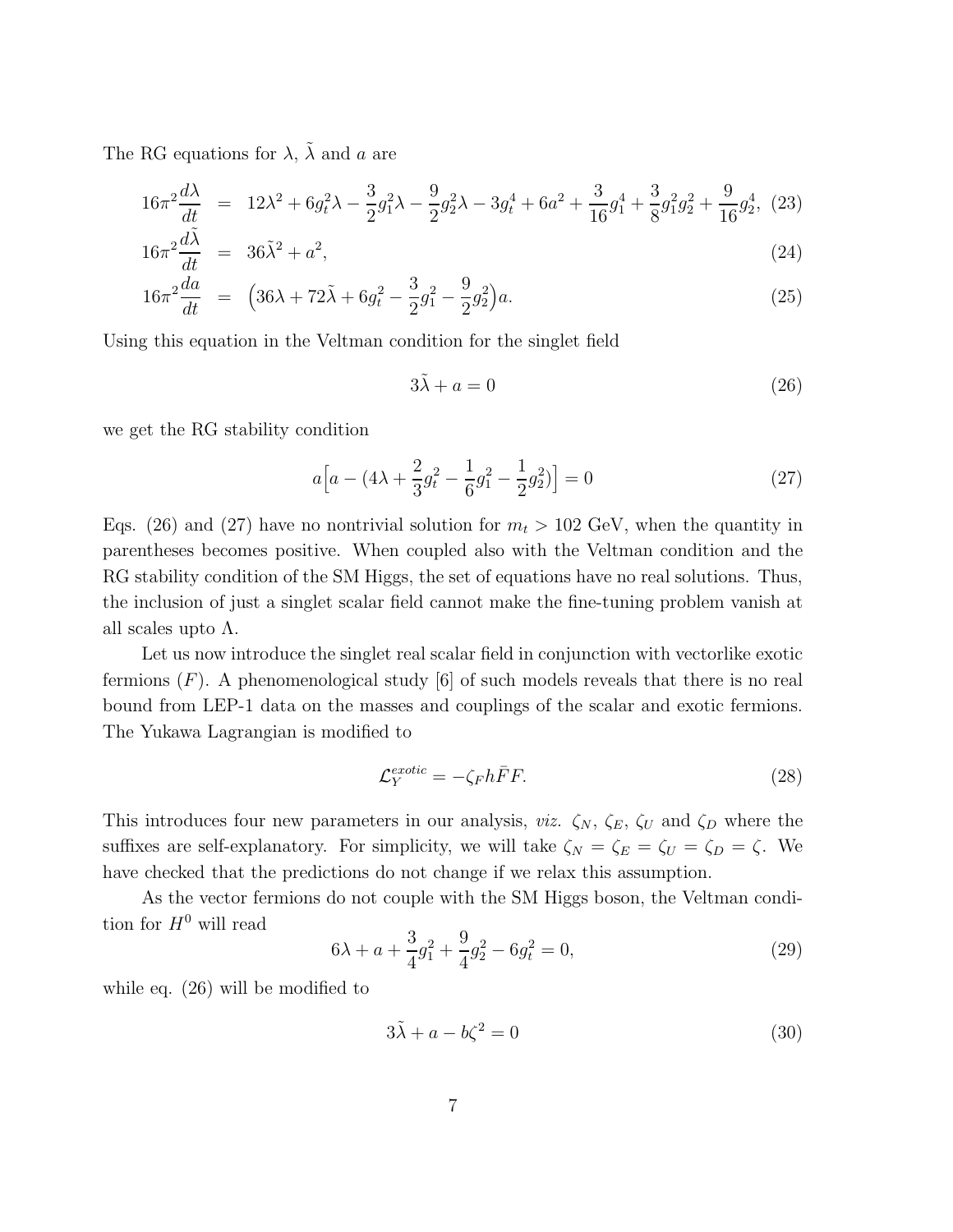The RG equations for  $\lambda$ ,  $\tilde{\lambda}$  and a are

$$
16\pi^2 \frac{d\lambda}{dt} = 12\lambda^2 + 6g_t^2\lambda - \frac{3}{2}g_1^2\lambda - \frac{9}{2}g_2^2\lambda - 3g_t^4 + 6a^2 + \frac{3}{16}g_1^4 + \frac{3}{8}g_1^2g_2^2 + \frac{9}{16}g_2^4, (23)
$$

$$
16\pi^2 \frac{d\tilde{\lambda}}{dt} = 36\tilde{\lambda}^2 + a^2,\tag{24}
$$

$$
16\pi^2 \frac{da}{dt} = \left(36\lambda + 72\tilde{\lambda} + 6g_t^2 - \frac{3}{2}g_1^2 - \frac{9}{2}g_2^2\right)a. \tag{25}
$$

Using this equation in the Veltman condition for the singlet field

$$
3\tilde{\lambda} + a = 0 \tag{26}
$$

we get the RG stability condition

$$
a\left[a - (4\lambda + \frac{2}{3}g_t^2 - \frac{1}{6}g_1^2 - \frac{1}{2}g_2^2)\right] = 0\tag{27}
$$

Eqs. (26) and (27) have no nontrivial solution for  $m_t > 102$  GeV, when the quantity in parentheses becomes positive. When coupled also with the Veltman condition and the RG stability condition of the SM Higgs, the set of equations have no real solutions. Thus, the inclusion of just a singlet scalar field cannot make the fine-tuning problem vanish at all scales upto  $\Lambda$ .

Let us now introduce the singlet real scalar field in conjunction with vectorlike exotic fermions  $(F)$ . A phenomenological study [6] of such models reveals that there is no real bound from LEP-1 data on the masses and couplings of the scalar and exotic fermions. The Yukawa Lagrangian is modified to

$$
\mathcal{L}_Y^{exotic} = -\zeta_F h \bar{F} F. \tag{28}
$$

This introduces four new parameters in our analysis, *viz.*  $\zeta_N$ ,  $\zeta_E$ ,  $\zeta_U$  and  $\zeta_D$  where the suffixes are self-explanatory. For simplicity, we will take  $\zeta_N = \zeta_E = \zeta_U = \zeta_D = \zeta$ . We have checked that the predictions do not change if we relax this assumption.

As the vector fermions do not couple with the SM Higgs boson, the Veltman condition for  $H^0$  will read

$$
6\lambda + a + \frac{3}{4}g_1^2 + \frac{9}{4}g_2^2 - 6g_t^2 = 0,
$$
\n(29)

while eq. (26) will be modified to

$$
3\tilde{\lambda} + a - b\zeta^2 = 0\tag{30}
$$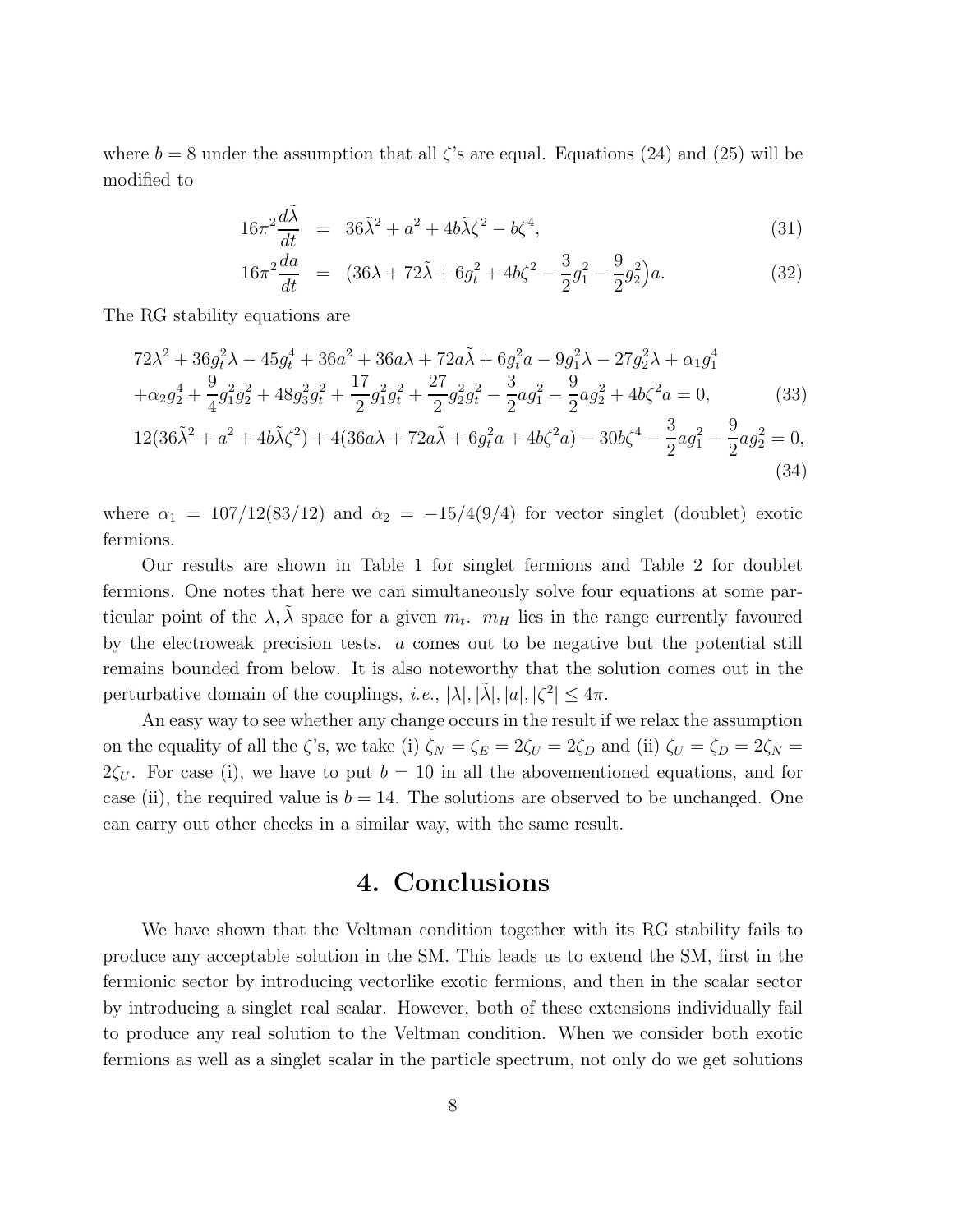where  $b = 8$  under the assumption that all  $\zeta$ 's are equal. Equations (24) and (25) will be modified to

$$
16\pi^2 \frac{d\tilde{\lambda}}{dt} = 36\tilde{\lambda}^2 + a^2 + 4b\tilde{\lambda}\zeta^2 - b\zeta^4,\tag{31}
$$

$$
16\pi^2 \frac{da}{dt} = (36\lambda + 72\tilde{\lambda} + 6g_t^2 + 4b\zeta^2 - \frac{3}{2}g_1^2 - \frac{9}{2}g_2^2)a. \tag{32}
$$

The RG stability equations are

$$
72\lambda^2 + 36g_t^2\lambda - 45g_t^4 + 36a^2 + 36a\lambda + 72a\tilde{\lambda} + 6g_t^2a - 9g_1^2\lambda - 27g_2^2\lambda + \alpha_1g_1^4
$$
  
+ $\alpha_2g_2^4 + \frac{9}{4}g_1^2g_2^2 + 48g_3^2g_t^2 + \frac{17}{2}g_1^2g_t^2 + \frac{27}{2}g_2^2g_t^2 - \frac{3}{2}ag_1^2 - \frac{9}{2}ag_2^2 + 4b\zeta^2a = 0,$  (33)

$$
12(36\tilde{\lambda}^2 + a^2 + 4b\tilde{\lambda}\zeta^2) + 4(36a\lambda + 72a\tilde{\lambda} + 6g_t^2a + 4b\zeta^2a) - 30b\zeta^4 - \frac{3}{2}ag_1^2 - \frac{9}{2}ag_2^2 = 0,
$$
\n(34)

where  $\alpha_1 = 107/12(83/12)$  and  $\alpha_2 = -15/4(9/4)$  for vector singlet (doublet) exotic fermions.

Our results are shown in Table 1 for singlet fermions and Table 2 for doublet fermions. One notes that here we can simultaneously solve four equations at some particular point of the  $\lambda$ ,  $\tilde{\lambda}$  space for a given  $m_t$ .  $m_H$  lies in the range currently favoured by the electroweak precision tests. a comes out to be negative but the potential still remains bounded from below. It is also noteworthy that the solution comes out in the perturbative domain of the couplings, *i.e.*,  $|\lambda|, |\tilde{\lambda}|, |a|, |\zeta^2| \leq 4\pi$ .

An easy way to see whether any change occurs in the result if we relax the assumption on the equality of all the  $\zeta$ 's, we take (i)  $\zeta_N = \zeta_E = 2\zeta_U = 2\zeta_D$  and (ii)  $\zeta_U = \zeta_D = 2\zeta_N =$  $2\zeta_U$ . For case (i), we have to put  $b = 10$  in all the abovementioned equations, and for case (ii), the required value is  $b = 14$ . The solutions are observed to be unchanged. One can carry out other checks in a similar way, with the same result.

# 4. Conclusions

We have shown that the Veltman condition together with its RG stability fails to produce any acceptable solution in the SM. This leads us to extend the SM, first in the fermionic sector by introducing vectorlike exotic fermions, and then in the scalar sector by introducing a singlet real scalar. However, both of these extensions individually fail to produce any real solution to the Veltman condition. When we consider both exotic fermions as well as a singlet scalar in the particle spectrum, not only do we get solutions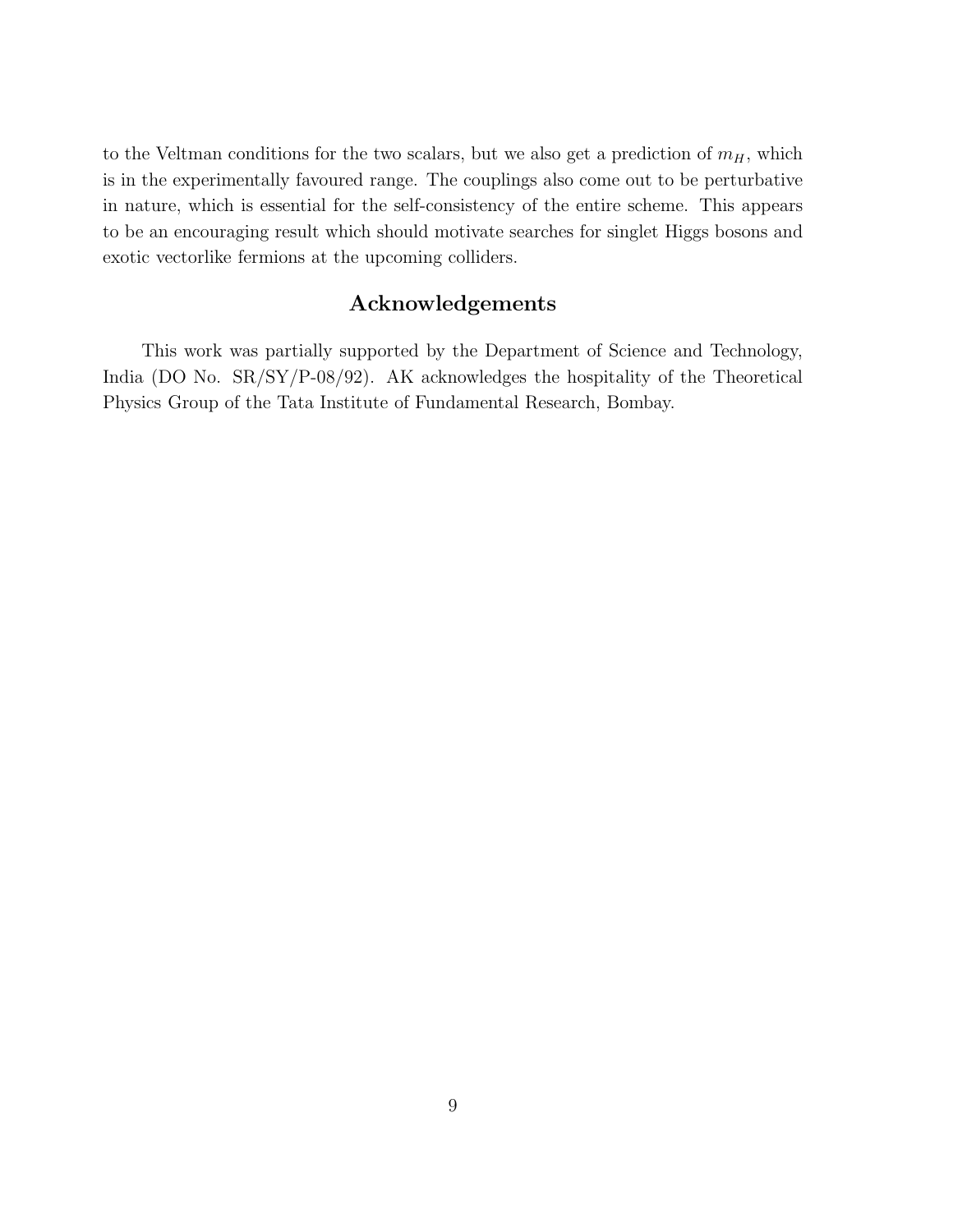to the Veltman conditions for the two scalars, but we also get a prediction of  $m_H$ , which is in the experimentally favoured range. The couplings also come out to be perturbative in nature, which is essential for the self-consistency of the entire scheme. This appears to be an encouraging result which should motivate searches for singlet Higgs bosons and exotic vectorlike fermions at the upcoming colliders.

### Acknowledgements

This work was partially supported by the Department of Science and Technology, India (DO No. SR/SY/P-08/92). AK acknowledges the hospitality of the Theoretical Physics Group of the Tata Institute of Fundamental Research, Bombay.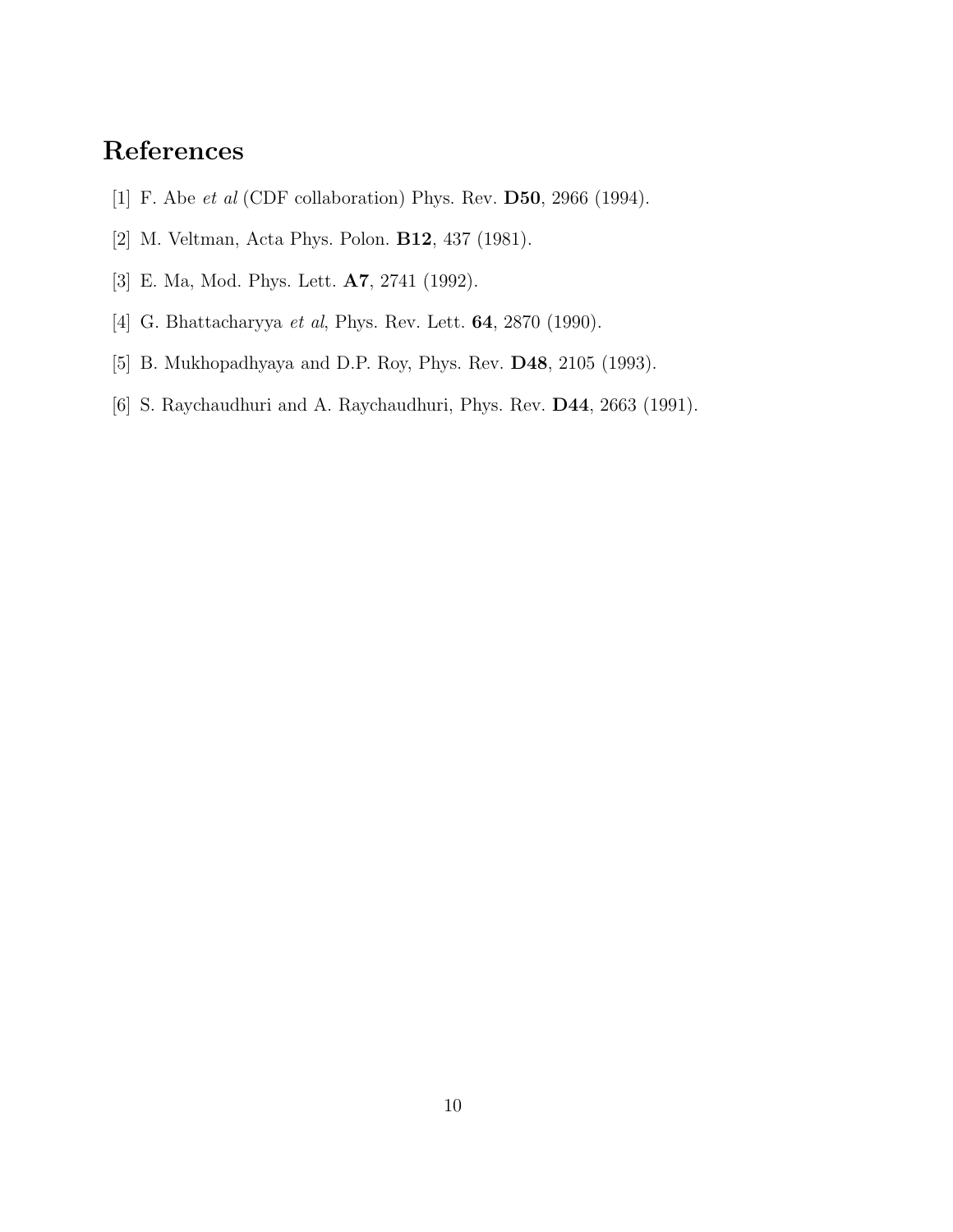# References

- [1] F. Abe *et al* (CDF collaboration) Phys. Rev. D50, 2966 (1994).
- [2] M. Veltman, Acta Phys. Polon. B12, 437 (1981).
- [3] E. Ma, Mod. Phys. Lett. A7, 2741 (1992).
- [4] G. Bhattacharyya *et al*, Phys. Rev. Lett. 64, 2870 (1990).
- [5] B. Mukhopadhyaya and D.P. Roy, Phys. Rev. D48, 2105 (1993).
- [6] S. Raychaudhuri and A. Raychaudhuri, Phys. Rev. D44, 2663 (1991).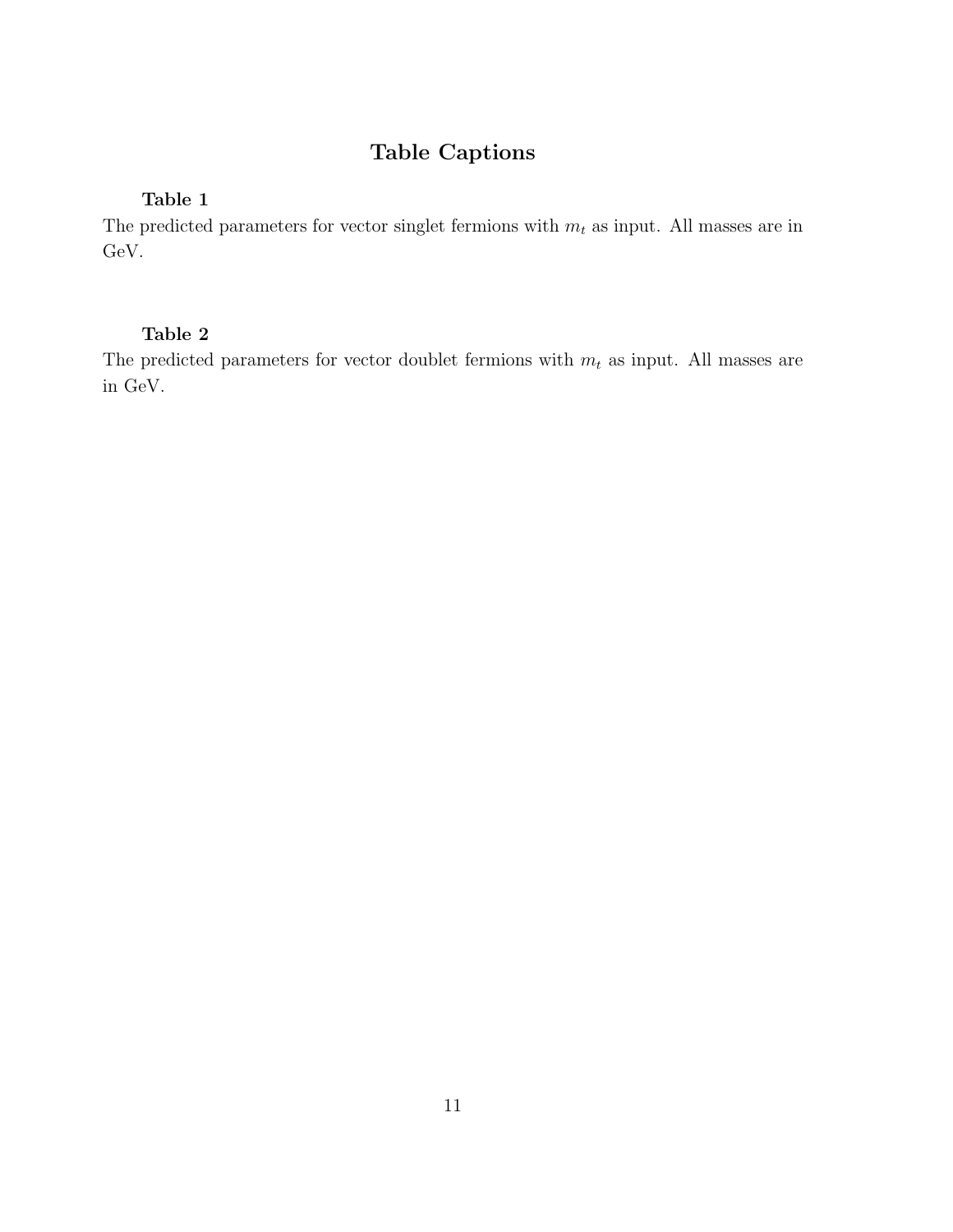# Table Captions

#### Table 1

The predicted parameters for vector singlet fermions with  $m_t$  as input. All masses are in GeV.

#### Table 2

The predicted parameters for vector doublet fermions with  $m_t$  as input. All masses are in GeV.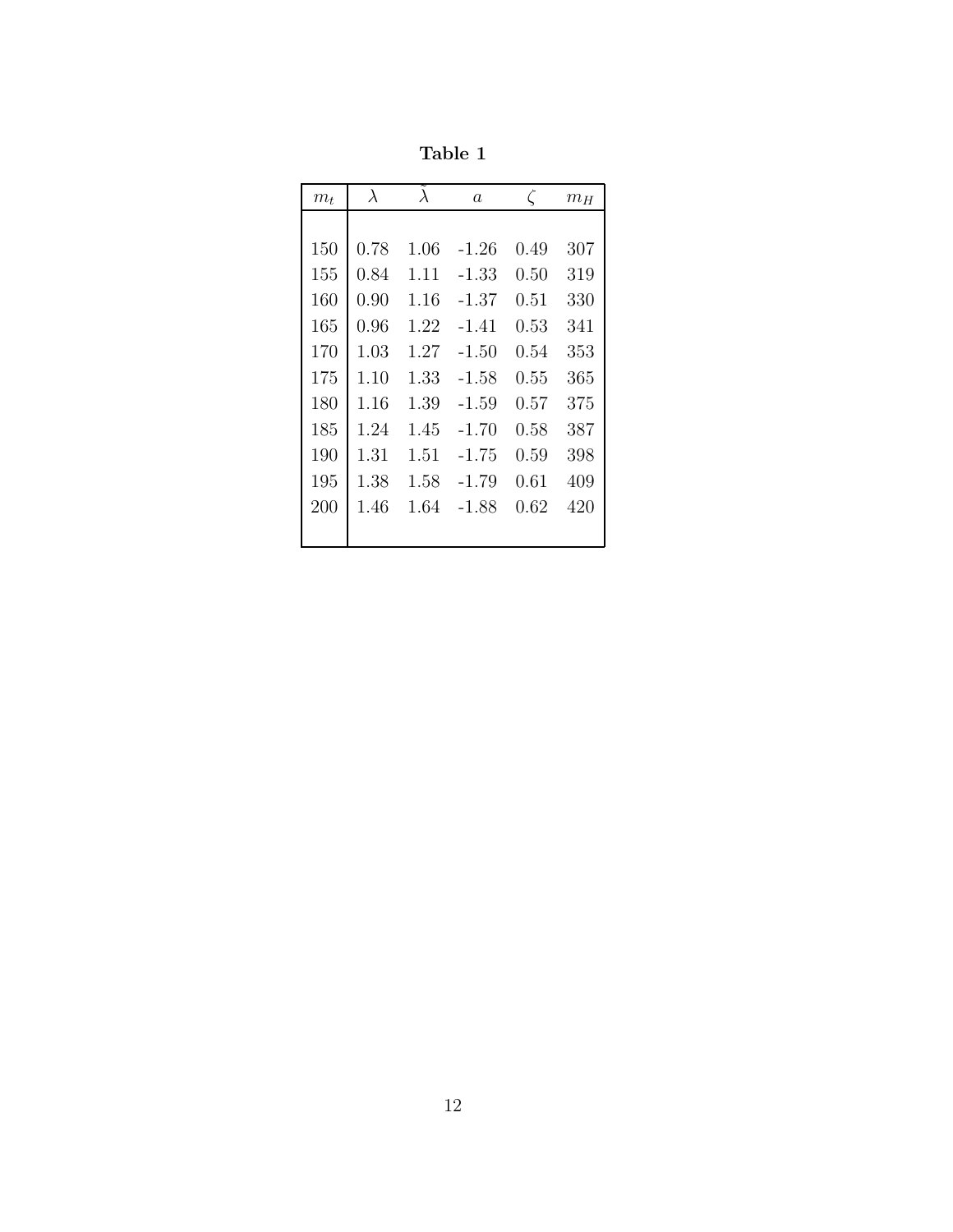Table 1

| $m_t$ | $\lambda$ | $\lambda$ | $\alpha$ | $\zeta$ | $m_H$ |
|-------|-----------|-----------|----------|---------|-------|
|       |           |           |          |         |       |
| 150   | 0.78      | 1.06      | -1.26    | 0.49    | 307   |
| 155   | 0.84      | 1.11      | -1.33    | 0.50    | 319   |
| 160   | 0.90      | 1.16      | $-1.37$  | 0.51    | 330   |
| 165   | 0.96      | 1.22      | -1.41    | 0.53    | 341   |
| 170   | 1.03      | 1.27      | $-1.50$  | 0.54    | 353   |
| 175   | 1.10      | 1.33      | $-1.58$  | 0.55    | 365   |
| 180   | 1.16      | 1.39      | -1.59    | 0.57    | 375   |
| 185   | 1.24      | 1.45      | $-1.70$  | 0.58    | 387   |
| 190   | 1.31      | 1.51      | -1.75    | 0.59    | 398   |
| 195   | 1.38      | 1.58      | -1.79    | 0.61    | 409   |
| 200   | 1.46      | 1.64      | -1.88    | 0.62    | 420   |
|       |           |           |          |         |       |